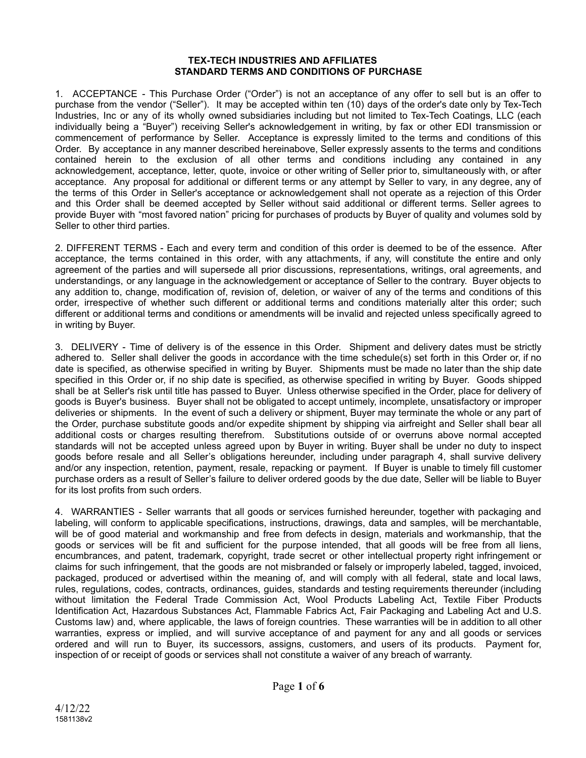#### **TEX-TECH INDUSTRIES AND AFFILIATES STANDARD TERMS AND CONDITIONS OF PURCHASE**

 1. ACCEPTANCE - This Purchase Order ("Order") is not an acceptance of any offer to sell but is an offer to purchase from the vendor ("Seller"). It may be accepted within ten (10) days of the order's date only by Tex-Tech Industries, Inc or any of its wholly owned subsidiaries including but not limited to Tex-Tech Coatings, LLC (each individually being a "Buyer") receiving Seller's acknowledgement in writing, by fax or other EDI transmission or commencement of performance by Seller. Acceptance is expressly limited to the terms and conditions of this Order. By acceptance in any manner described hereinabove, Seller expressly assents to the terms and conditions contained herein to the exclusion of all other terms and conditions including any contained in any acknowledgement, acceptance, letter, quote, invoice or other writing of Seller prior to, simultaneously with, or after acceptance. Any proposal for additional or different terms or any attempt by Seller to vary, in any degree, any of the terms of this Order in Seller's acceptance or acknowledgement shall not operate as a rejection of this Order and this Order shall be deemed accepted by Seller without said additional or different terms. Seller agrees to provide Buyer with "most favored nation" pricing for purchases of products by Buyer of quality and volumes sold by Seller to other third parties.

 2. DIFFERENT TERMS - Each and every term and condition of this order is deemed to be of the essence. After acceptance, the terms contained in this order, with any attachments, if any, will constitute the entire and only agreement of the parties and will supersede all prior discussions, representations, writings, oral agreements, and understandings, or any language in the acknowledgement or acceptance of Seller to the contrary. Buyer objects to any addition to, change, modification of, revision of, deletion, or waiver of any of the terms and conditions of this order, irrespective of whether such different or additional terms and conditions materially alter this order; such different or additional terms and conditions or amendments will be invalid and rejected unless specifically agreed to in writing by Buyer.

 3. DELIVERY - Time of delivery is of the essence in this Order. Shipment and delivery dates must be strictly adhered to. Seller shall deliver the goods in accordance with the time schedule(s) set forth in this Order or, if no date is specified, as otherwise specified in writing by Buyer. Shipments must be made no later than the ship date specified in this Order or, if no ship date is specified, as otherwise specified in writing by Buyer. Goods shipped shall be at Seller's risk until title has passed to Buyer. Unless otherwise specified in the Order, place for delivery of goods is Buyer's business. Buyer shall not be obligated to accept untimely, incomplete, unsatisfactory or improper deliveries or shipments. In the event of such a delivery or shipment, Buyer may terminate the whole or any part of the Order, purchase substitute goods and/or expedite shipment by shipping via airfreight and Seller shall bear all additional costs or charges resulting therefrom. Substitutions outside of or overruns above normal accepted standards will not be accepted unless agreed upon by Buyer in writing. Buyer shall be under no duty to inspect goods before resale and all Seller's obligations hereunder, including under paragraph 4, shall survive delivery and/or any inspection, retention, payment, resale, repacking or payment. If Buyer is unable to timely fill customer purchase orders as a result of Seller's failure to deliver ordered goods by the due date, Seller will be liable to Buyer for its lost profits from such orders.

 4. WARRANTIES - Seller warrants that all goods or services furnished hereunder, together with packaging and labeling, will conform to applicable specifications, instructions, drawings, data and samples, will be merchantable, will be of good material and workmanship and free from defects in design, materials and workmanship, that the goods or services will be fit and sufficient for the purpose intended, that all goods will be free from all liens, encumbrances, and patent, trademark, copyright, trade secret or other intellectual property right infringement or claims for such infringement, that the goods are not misbranded or falsely or improperly labeled, tagged, invoiced, packaged, produced or advertised within the meaning of, and will comply with all federal, state and local laws, rules, regulations, codes, contracts, ordinances, guides, standards and testing requirements thereunder (including without limitation the Federal Trade Commission Act, Wool Products Labeling Act, Textile Fiber Products Identification Act, Hazardous Substances Act, Flammable Fabrics Act, Fair Packaging and Labeling Act and U.S. Customs law) and, where applicable, the laws of foreign countries. These warranties will be in addition to all other warranties, express or implied, and will survive acceptance of and payment for any and all goods or services ordered and will run to Buyer, its successors, assigns, customers, and users of its products. Payment for, inspection of or receipt of goods or services shall not constitute a waiver of any breach of warranty.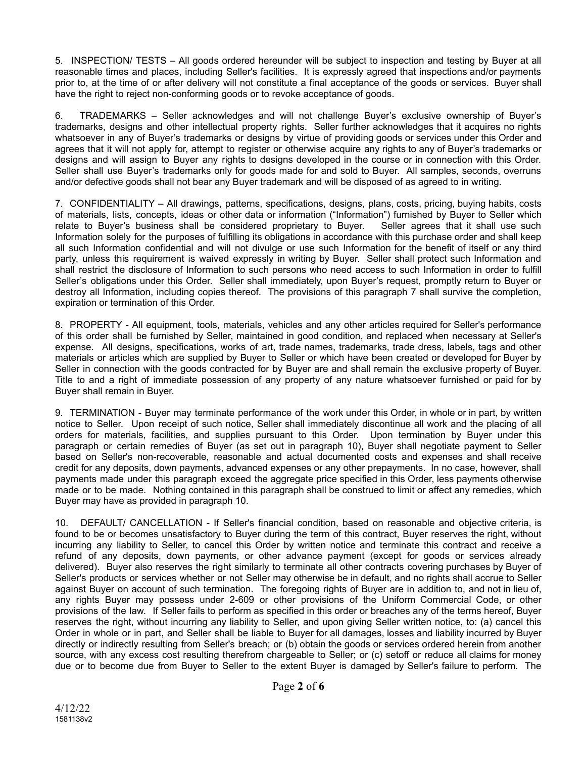5. INSPECTION/ TESTS – All goods ordered hereunder will be subject to inspection and testing by Buyer at all reasonable times and places, including Seller's facilities. It is expressly agreed that inspections and/or payments prior to, at the time of or after delivery will not constitute a final acceptance of the goods or services. Buyer shall have the right to reject non-conforming goods or to revoke acceptance of goods.

 6. TRADEMARKS – Seller acknowledges and will not challenge Buyer's exclusive ownership of Buyer's trademarks, designs and other intellectual property rights. Seller further acknowledges that it acquires no rights whatsoever in any of Buyer's trademarks or designs by virtue of providing goods or services under this Order and agrees that it will not apply for, attempt to register or otherwise acquire any rights to any of Buyer's trademarks or designs and will assign to Buyer any rights to designs developed in the course or in connection with this Order. Seller shall use Buyer's trademarks only for goods made for and sold to Buyer. All samples, seconds, overruns and/or defective goods shall not bear any Buyer trademark and will be disposed of as agreed to in writing.

 7. CONFIDENTIALITY – All drawings, patterns, specifications, designs, plans, costs, pricing, buying habits, costs of materials, lists, concepts, ideas or other data or information ("Information") furnished by Buyer to Seller which<br>relate to Buyer's business shall be considered proprietary to Buyer. Seller agrees that it shall use such relate to Buyer's business shall be considered proprietary to Buyer. Information solely for the purposes of fulfilling its obligations in accordance with this purchase order and shall keep all such Information confidential and will not divulge or use such Information for the benefit of itself or any third party, unless this requirement is waived expressly in writing by Buyer. Seller shall protect such Information and shall restrict the disclosure of Information to such persons who need access to such Information in order to fulfill Seller's obligations under this Order. Seller shall immediately, upon Buyer's request, promptly return to Buyer or destroy all Information, including copies thereof. The provisions of this paragraph 7 shall survive the completion, expiration or termination of this Order.

 8. PROPERTY - All equipment, tools, materials, vehicles and any other articles required for Seller's performance of this order shall be furnished by Seller, maintained in good condition, and replaced when necessary at Seller's expense. All designs, specifications, works of art, trade names, trademarks, trade dress, labels, tags and other materials or articles which are supplied by Buyer to Seller or which have been created or developed for Buyer by Seller in connection with the goods contracted for by Buyer are and shall remain the exclusive property of Buyer. Title to and a right of immediate possession of any property of any nature whatsoever furnished or paid for by Buyer shall remain in Buyer.

 9. TERMINATION - Buyer may terminate performance of the work under this Order, in whole or in part, by written notice to Seller. Upon receipt of such notice, Seller shall immediately discontinue all work and the placing of all orders for materials, facilities, and supplies pursuant to this Order. Upon termination by Buyer under this paragraph or certain remedies of Buyer (as set out in paragraph 10), Buyer shall negotiate payment to Seller based on Seller's non-recoverable, reasonable and actual documented costs and expenses and shall receive credit for any deposits, down payments, advanced expenses or any other prepayments. In no case, however, shall payments made under this paragraph exceed the aggregate price specified in this Order, less payments otherwise made or to be made. Nothing contained in this paragraph shall be construed to limit or affect any remedies, which Buyer may have as provided in paragraph 10.

 10. DEFAULT/ CANCELLATION - If Seller's financial condition, based on reasonable and objective criteria, is found to be or becomes unsatisfactory to Buyer during the term of this contract, Buyer reserves the right, without incurring any liability to Seller, to cancel this Order by written notice and terminate this contract and receive a refund of any deposits, down payments, or other advance payment (except for goods or services already delivered). Buyer also reserves the right similarly to terminate all other contracts covering purchases by Buyer of Seller's products or services whether or not Seller may otherwise be in default, and no rights shall accrue to Seller against Buyer on account of such termination. The foregoing rights of Buyer are in addition to, and not in lieu of, any rights Buyer may possess under 2-609 or other provisions of the Uniform Commercial Code, or other provisions of the law. If Seller fails to perform as specified in this order or breaches any of the terms hereof, Buyer reserves the right, without incurring any liability to Seller, and upon giving Seller written notice, to: (a) cancel this Order in whole or in part, and Seller shall be liable to Buyer for all damages, losses and liability incurred by Buyer directly or indirectly resulting from Seller's breach; or (b) obtain the goods or services ordered herein from another source, with any excess cost resulting therefrom chargeable to Seller; or (c) setoff or reduce all claims for money due or to become due from Buyer to Seller to the extent Buyer is damaged by Seller's failure to perform. The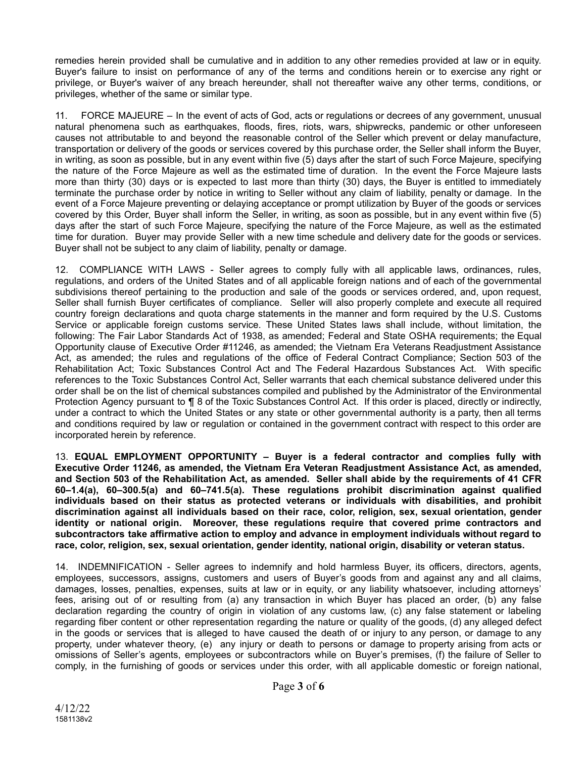remedies herein provided shall be cumulative and in addition to any other remedies provided at law or in equity. Buyer's failure to insist on performance of any of the terms and conditions herein or to exercise any right or privilege, or Buyer's waiver of any breach hereunder, shall not thereafter waive any other terms, conditions, or privileges, whether of the same or similar type.

 11. FORCE MAJEURE – In the event of acts of God, acts or regulations or decrees of any government, unusual natural phenomena such as earthquakes, floods, fires, riots, wars, shipwrecks, pandemic or other unforeseen causes not attributable to and beyond the reasonable control of the Seller which prevent or delay manufacture, transportation or delivery of the goods or services covered by this purchase order, the Seller shall inform the Buyer, in writing, as soon as possible, but in any event within five (5) days after the start of such Force Majeure, specifying the nature of the Force Majeure as well as the estimated time of duration. In the event the Force Majeure lasts more than thirty (30) days or is expected to last more than thirty (30) days, the Buyer is entitled to immediately terminate the purchase order by notice in writing to Seller without any claim of liability, penalty or damage. In the event of a Force Majeure preventing or delaying acceptance or prompt utilization by Buyer of the goods or services covered by this Order, Buyer shall inform the Seller, in writing, as soon as possible, but in any event within five (5) days after the start of such Force Majeure, specifying the nature of the Force Majeure, as well as the estimated time for duration. Buyer may provide Seller with a new time schedule and delivery date for the goods or services. Buyer shall not be subject to any claim of liability, penalty or damage.

 12. COMPLIANCE WITH LAWS - Seller agrees to comply fully with all applicable laws, ordinances, rules, regulations, and orders of the United States and of all applicable foreign nations and of each of the governmental subdivisions thereof pertaining to the production and sale of the goods or services ordered, and, upon request, Seller shall furnish Buyer certificates of compliance. Seller will also properly complete and execute all required country foreign declarations and quota charge statements in the manner and form required by the U.S. Customs Service or applicable foreign customs service. These United States laws shall include, without limitation, the following: The Fair Labor Standards Act of 1938, as amended; Federal and State OSHA requirements; the Equal Opportunity clause of Executive Order #11246, as amended; the Vietnam Era Veterans Readjustment Assistance Act, as amended; the rules and regulations of the office of Federal Contract Compliance; Section 503 of the Rehabilitation Act; Toxic Substances Control Act and The Federal Hazardous Substances Act. With specific references to the Toxic Substances Control Act, Seller warrants that each chemical substance delivered under this order shall be on the list of chemical substances compiled and published by the Administrator of the Environmental Protection Agency pursuant to  $\P$  8 of the Toxic Substances Control Act. If this order is placed, directly or indirectly, under a contract to which the United States or any state or other governmental authority is a party, then all terms and conditions required by law or regulation or contained in the government contract with respect to this order are incorporated herein by reference.

 13. **EQUAL EMPLOYMENT OPPORTUNITY – Buyer is a federal contractor and complies fully with Executive Order 11246, as amended, the Vietnam Era Veteran Readjustment Assistance Act, as amended, and Section 503 of the Rehabilitation Act, as amended. Seller shall abide by the requirements of 41 CFR 60–1.4(a), 60–300.5(a) and 60–741.5(a). These regulations prohibit discrimination against qualified individuals based on their status as protected veterans or individuals with disabilities, and prohibit discrimination against all individuals based on their race, color, religion, sex, sexual orientation, gender identity or national origin. Moreover, these regulations require that covered prime contractors and subcontractors take affirmative action to employ and advance in employment individuals without regard to race, color, religion, sex, sexual orientation, gender identity, national origin, disability or veteran status.** 

 14. INDEMNIFICATION - Seller agrees to indemnify and hold harmless Buyer, its officers, directors, agents, employees, successors, assigns, customers and users of Buyer's goods from and against any and all claims, damages, losses, penalties, expenses, suits at law or in equity, or any liability whatsoever, including attorneys' fees, arising out of or resulting from (a) any transaction in which Buyer has placed an order, (b) any false declaration regarding the country of origin in violation of any customs law, (c) any false statement or labeling regarding fiber content or other representation regarding the nature or quality of the goods, (d) any alleged defect in the goods or services that is alleged to have caused the death of or injury to any person, or damage to any property, under whatever theory, (e) any injury or death to persons or damage to property arising from acts or omissions of Seller's agents, employees or subcontractors while on Buyer's premises, (f) the failure of Seller to comply, in the furnishing of goods or services under this order, with all applicable domestic or foreign national,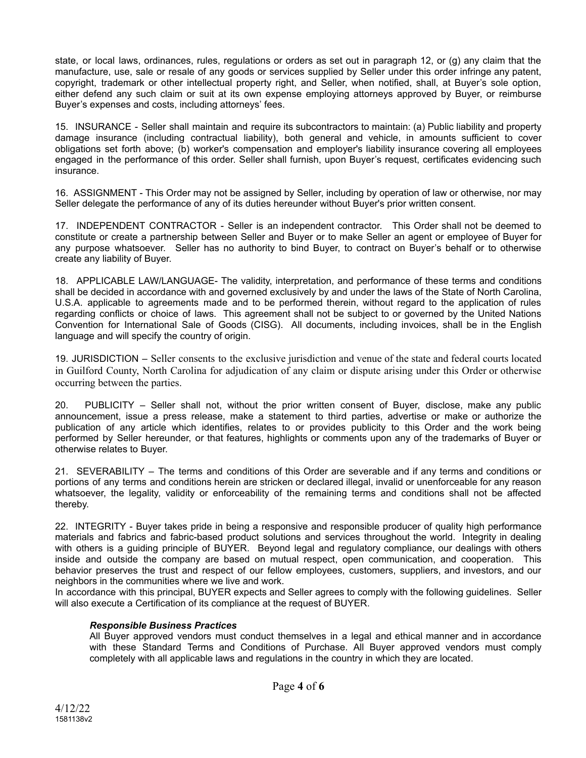state, or local laws, ordinances, rules, regulations or orders as set out in paragraph 12, or (g) any claim that the manufacture, use, sale or resale of any goods or services supplied by Seller under this order infringe any patent, copyright, trademark or other intellectual property right, and Seller, when notified, shall, at Buyer's sole option, either defend any such claim or suit at its own expense employing attorneys approved by Buyer, or reimburse Buyer's expenses and costs, including attorneys' fees.

 15. INSURANCE - Seller shall maintain and require its subcontractors to maintain: (a) Public liability and property damage insurance (including contractual liability), both general and vehicle, in amounts sufficient to cover obligations set forth above; (b) worker's compensation and employer's liability insurance covering all employees engaged in the performance of this order. Seller shall furnish, upon Buyer's request, certificates evidencing such insurance.

 16. ASSIGNMENT - This Order may not be assigned by Seller, including by operation of law or otherwise, nor may Seller delegate the performance of any of its duties hereunder without Buyer's prior written consent.

 17. INDEPENDENT CONTRACTOR - Seller is an independent contractor. This Order shall not be deemed to constitute or create a partnership between Seller and Buyer or to make Seller an agent or employee of Buyer for any purpose whatsoever. Seller has no authority to bind Buyer, to contract on Buyer's behalf or to otherwise create any liability of Buyer.

 18. APPLICABLE LAW/LANGUAGE- The validity, interpretation, and performance of these terms and conditions shall be decided in accordance with and governed exclusively by and under the laws of the State of North Carolina, U.S.A. applicable to agreements made and to be performed therein, without regard to the application of rules regarding conflicts or choice of laws. This agreement shall not be subject to or governed by the United Nations Convention for International Sale of Goods (CISG). All documents, including invoices, shall be in the English language and will specify the country of origin.

 19. JURISDICTION – Seller consents to the exclusive jurisdiction and venue of the state and federal courts located in Guilford County, North Carolina for adjudication of any claim or dispute arising under this Order or otherwise occurring between the parties.

 20. PUBLICITY – Seller shall not, without the prior written consent of Buyer, disclose, make any public announcement, issue a press release, make a statement to third parties, advertise or make or authorize the publication of any article which identifies, relates to or provides publicity to this Order and the work being performed by Seller hereunder, or that features, highlights or comments upon any of the trademarks of Buyer or otherwise relates to Buyer.

 21. SEVERABILITY – The terms and conditions of this Order are severable and if any terms and conditions or portions of any terms and conditions herein are stricken or declared illegal, invalid or unenforceable for any reason whatsoever, the legality, validity or enforceability of the remaining terms and conditions shall not be affected thereby.

 22. INTEGRITY - Buyer takes pride in being a responsive and responsible producer of quality high performance materials and fabrics and fabric-based product solutions and services throughout the world. Integrity in dealing with others is a guiding principle of BUYER. Beyond legal and regulatory compliance, our dealings with others inside and outside the company are based on mutual respect, open communication, and cooperation. This behavior preserves the trust and respect of our fellow employees, customers, suppliers, and investors, and our neighbors in the communities where we live and work.

 In accordance with this principal, BUYER expects and Seller agrees to comply with the following guidelines. Seller will also execute a Certification of its compliance at the request of BUYER.

## *Responsible Business Practices*

 All Buyer approved vendors must conduct themselves in a legal and ethical manner and in accordance with these Standard Terms and Conditions of Purchase. All Buyer approved vendors must comply completely with all applicable laws and regulations in the country in which they are located.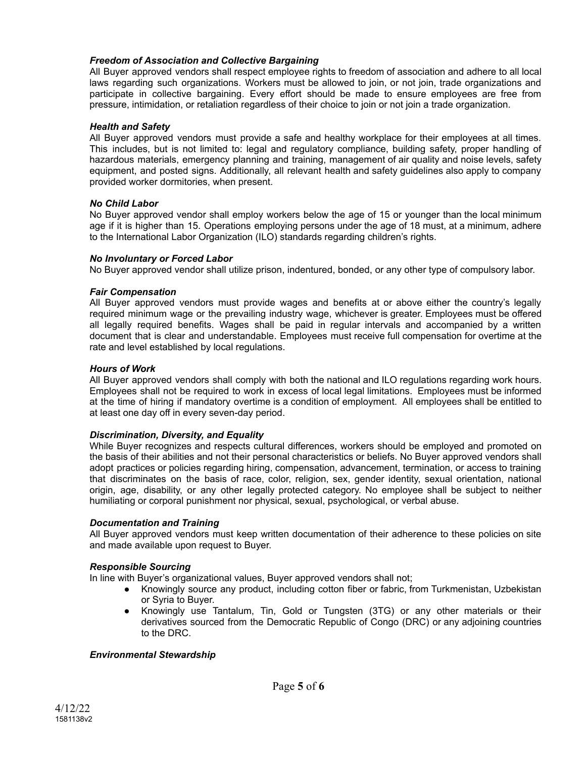## *Freedom of Association and Collective Bargaining*

 All Buyer approved vendors shall respect employee rights to freedom of association and adhere to all local laws regarding such organizations. Workers must be allowed to join, or not join, trade organizations and participate in collective bargaining. Every effort should be made to ensure employees are free from pressure, intimidation, or retaliation regardless of their choice to join or not join a trade organization.

## *Health and Safety*

 All Buyer approved vendors must provide a safe and healthy workplace for their employees at all times. This includes, but is not limited to: legal and regulatory compliance, building safety, proper handling of hazardous materials, emergency planning and training, management of air quality and noise levels, safety equipment, and posted signs. Additionally, all relevant health and safety guidelines also apply to company provided worker dormitories, when present.

## *No Child Labor*

 No Buyer approved vendor shall employ workers below the age of 15 or younger than the local minimum age if it is higher than 15. Operations employing persons under the age of 18 must, at a minimum, adhere to the International Labor Organization (ILO) standards regarding children's rights.

#### *No Involuntary or Forced Labor*

No Buyer approved vendor shall utilize prison, indentured, bonded, or any other type of compulsory labor.

#### *Fair Compensation*

 All Buyer approved vendors must provide wages and benefits at or above either the country's legally required minimum wage or the prevailing industry wage, whichever is greater. Employees must be offered all legally required benefits. Wages shall be paid in regular intervals and accompanied by a written document that is clear and understandable. Employees must receive full compensation for overtime at the rate and level established by local regulations.

#### *Hours of Work*

 All Buyer approved vendors shall comply with both the national and ILO regulations regarding work hours. Employees shall not be required to work in excess of local legal limitations. Employees must be informed at the time of hiring if mandatory overtime is a condition of employment. All employees shall be entitled to at least one day off in every seven-day period.

## *Discrimination, Diversity, and Equality*

 While Buyer recognizes and respects cultural differences, workers should be employed and promoted on the basis of their abilities and not their personal characteristics or beliefs. No Buyer approved vendors shall adopt practices or policies regarding hiring, compensation, advancement, termination, or access to training that discriminates on the basis of race, color, religion, sex, gender identity, sexual orientation, national origin, age, disability, or any other legally protected category. No employee shall be subject to neither humiliating or corporal punishment nor physical, sexual, psychological, or verbal abuse.

#### *Documentation and Training*

 All Buyer approved vendors must keep written documentation of their adherence to these policies on site and made available upon request to Buyer.

#### *Responsible Sourcing*

In line with Buyer's organizational values, Buyer approved vendors shall not;

- Knowingly source any product, including cotton fiber or fabric, from Turkmenistan, Uzbekistan or Syria to Buyer.
- Knowingly use Tantalum, Tin, Gold or Tungsten (3TG) or any other materials or their derivatives sourced from the Democratic Republic of Congo (DRC) or any adjoining countries to the DRC.

#### *Environmental Stewardship*